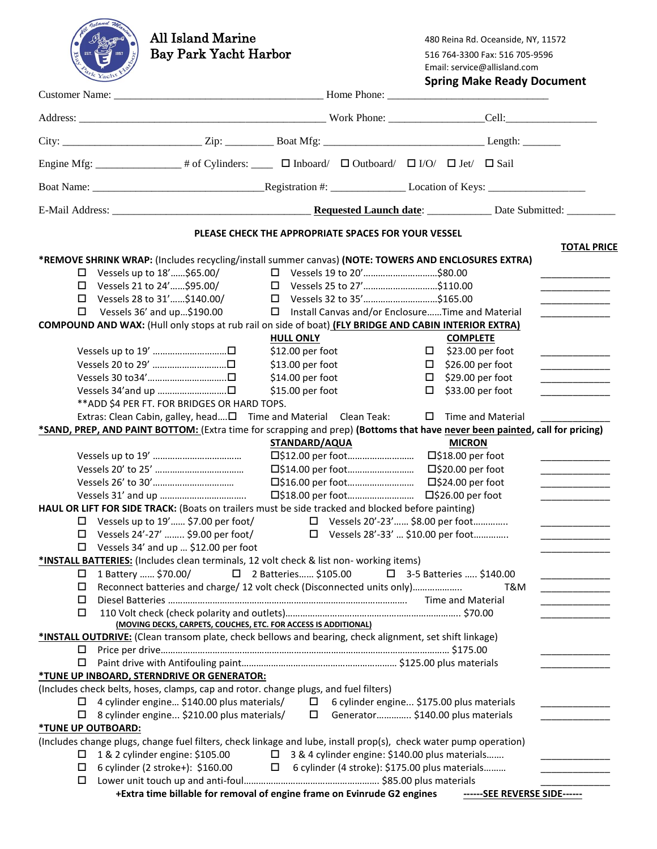| <b>All Island Marine</b><br><b>Bay Park Yacht Harbor</b>                                                                                                                                                                                                                                                                                                                                                                                                                               |                                                                                                                                                        |                                                                                         | 480 Reina Rd. Oceanside, NY, 11572<br>516 764-3300 Fax: 516 705-9596<br>Email: service@allisland.com<br><b>Spring Make Ready Document</b> |                                                                                                                      |  |  |
|----------------------------------------------------------------------------------------------------------------------------------------------------------------------------------------------------------------------------------------------------------------------------------------------------------------------------------------------------------------------------------------------------------------------------------------------------------------------------------------|--------------------------------------------------------------------------------------------------------------------------------------------------------|-----------------------------------------------------------------------------------------|-------------------------------------------------------------------------------------------------------------------------------------------|----------------------------------------------------------------------------------------------------------------------|--|--|
|                                                                                                                                                                                                                                                                                                                                                                                                                                                                                        |                                                                                                                                                        |                                                                                         |                                                                                                                                           |                                                                                                                      |  |  |
|                                                                                                                                                                                                                                                                                                                                                                                                                                                                                        |                                                                                                                                                        |                                                                                         |                                                                                                                                           |                                                                                                                      |  |  |
|                                                                                                                                                                                                                                                                                                                                                                                                                                                                                        |                                                                                                                                                        |                                                                                         |                                                                                                                                           |                                                                                                                      |  |  |
| Engine Mfg: _________________# of Cylinders: ________ $\Box$ Inboard/ $\Box$ Outboard/ $\Box$ I/O/ $\Box$ Jet/ $\Box$ Sail                                                                                                                                                                                                                                                                                                                                                             |                                                                                                                                                        |                                                                                         |                                                                                                                                           |                                                                                                                      |  |  |
|                                                                                                                                                                                                                                                                                                                                                                                                                                                                                        |                                                                                                                                                        |                                                                                         |                                                                                                                                           |                                                                                                                      |  |  |
|                                                                                                                                                                                                                                                                                                                                                                                                                                                                                        |                                                                                                                                                        |                                                                                         |                                                                                                                                           |                                                                                                                      |  |  |
| PLEASE CHECK THE APPROPRIATE SPACES FOR YOUR VESSEL<br><b>TOTAL PRICE</b>                                                                                                                                                                                                                                                                                                                                                                                                              |                                                                                                                                                        |                                                                                         |                                                                                                                                           |                                                                                                                      |  |  |
| *REMOVE SHRINK WRAP: (Includes recycling/install summer canvas) (NOTE: TOWERS AND ENCLOSURES EXTRA)<br>$\Box$ Vessels up to 18'\$65.00/<br>$\Box$ Vessels 21 to 24'\$95.00/<br>$\Box$ Vessels 28 to 31'\$140.00/<br>Vessels 36' and up\$190.00<br>□                                                                                                                                                                                                                                    | □ Vessels 19 to 20'\$80.00<br>□ Vessels 25 to 27'\$110.00<br>□ Vessels 32 to 35'\$165.00<br>$\square$ Install Canvas and/or EnclosureTime and Material |                                                                                         |                                                                                                                                           |                                                                                                                      |  |  |
| COMPOUND AND WAX: (Hull only stops at rub rail on side of boat) (FLY BRIDGE AND CABIN INTERIOR EXTRA)                                                                                                                                                                                                                                                                                                                                                                                  | <b>HULL ONLY</b>                                                                                                                                       |                                                                                         | <b>COMPLETE</b>                                                                                                                           |                                                                                                                      |  |  |
| Vessels up to 19' □<br>Vessels 20 to 29' □<br>Vessels 30 to34'□<br>** ADD \$4 PER FT. FOR BRIDGES OR HARD TOPS.<br>Extras: Clean Cabin, galley, head□ Time and Material Clean Teak:                                                                                                                                                                                                                                                                                                    | \$12.00 per foot<br>$$13.00$ per foot<br>\$14.00 per foot<br>\$15.00 per foot                                                                          | $\Box$<br>$\Box$                                                                        | $\Box$ \$23.00 per foot<br>$\Box$ \$26.00 per foot<br>\$29.00 per foot<br>\$33.00 per foot<br>$\Box$ Time and Material                    | the company of the company of<br>$\overline{\phantom{a}}$                                                            |  |  |
| *SAND, PREP, AND PAINT BOTTOM: (Extra time for scrapping and prep) (Bottoms that have never been painted, call for pricing)                                                                                                                                                                                                                                                                                                                                                            |                                                                                                                                                        |                                                                                         |                                                                                                                                           |                                                                                                                      |  |  |
| HAUL OR LIFT FOR SIDE TRACK: (Boats on trailers must be side tracked and blocked before painting)                                                                                                                                                                                                                                                                                                                                                                                      | STANDARD/AQUA<br>□\$12.00 per foot<br>□\$14.00 per foot<br>□\$16.00 per foot<br>□\$18.00 per foot                                                      |                                                                                         | <b>MICRON</b><br>□\$18.00 per foot<br>□\$20.00 per foot<br>□\$24.00 per foot<br>□\$26.00 per foot                                         | <u> 1980 - Johann John Harry Harry Harry Harry Harry Harry Harry Harry Harry Harry Harry Harry Harry Harry Harry</u> |  |  |
| $\Box$ Vessels up to 19' \$7.00 per foot/<br>Vessels 24'-27'  \$9.00 per foot/<br>$\Box$<br>$\Box$ Vessels 34' and up  \$12.00 per foot                                                                                                                                                                                                                                                                                                                                                |                                                                                                                                                        | □ Vessels 20'-23' \$8.00 per foot<br>□ Vessels 28'-33'  \$10.00 per foot                |                                                                                                                                           | the control of the control of the                                                                                    |  |  |
| *INSTALL BATTERIES: (Includes clean terminals, 12 volt check & list non- working items)<br>1 Battery  \$70.00/<br>□<br>Reconnect batteries and charge/ 12 volt check (Disconnected units only)<br>□<br>□<br>□<br>(MOVING DECKS, CARPETS, COUCHES, ETC. FOR ACCESS IS ADDITIONAL)<br>*INSTALL OUTDRIVE: (Clean transom plate, check bellows and bearing, check alignment, set shift linkage)                                                                                            | □ 2 Batteries \$105.00                                                                                                                                 |                                                                                         | □ 3-5 Batteries  \$140.00<br>T&M                                                                                                          | <u> 1989 - Johann Barbara, martxa a</u>                                                                              |  |  |
| □                                                                                                                                                                                                                                                                                                                                                                                                                                                                                      |                                                                                                                                                        |                                                                                         |                                                                                                                                           |                                                                                                                      |  |  |
| *TUNE UP INBOARD, STERNDRIVE OR GENERATOR:<br>(Includes check belts, hoses, clamps, cap and rotor. change plugs, and fuel filters)<br>$\Box$ 4 cylinder engine \$140.00 plus materials/<br>$\Box$ 8 cylinder engine \$210.00 plus materials/<br><b><i>*TUNE UP OUTBOARD:</i></b><br>(Includes change plugs, change fuel filters, check linkage and lube, install prop(s), check water pump operation)<br>1 & 2 cylinder engine: \$105.00<br>□<br>6 cylinder (2 stroke+): \$160.00<br>□ | □ 3 & 4 cylinder engine: \$140.00 plus materials<br>□ 6 cylinder (4 stroke): \$175.00 plus materials                                                   | $\Box$ 6 cylinder engine \$175.00 plus materials<br>□ Generator \$140.00 plus materials |                                                                                                                                           | the company of the company of the<br><u> 1989 - Johann Barnett, fransk politiker</u>                                 |  |  |

**+Extra time billable for removal of engine frame on Evinrude G2 engines ------SEE REVERSE SIDE------**